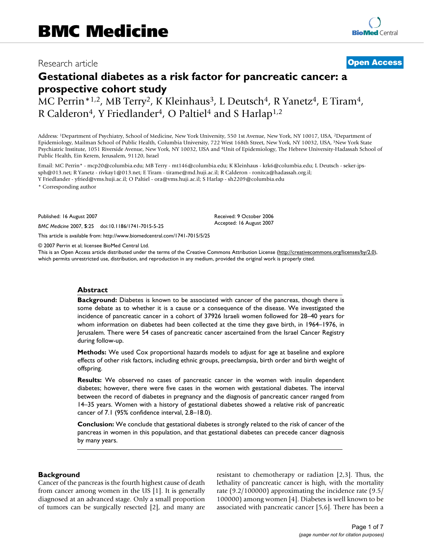# Research article **[Open Access](http://www.biomedcentral.com/info/about/charter/)**

# **Gestational diabetes as a risk factor for pancreatic cancer: a prospective cohort study**

MC Perrin\*1,2, MB Terry<sup>2</sup>, K Kleinhaus<sup>3</sup>, L Deutsch<sup>4</sup>, R Yanetz<sup>4</sup>, E Tiram<sup>4</sup>, R Calderon<sup>4</sup>, Y Friedlander<sup>4</sup>, O Paltiel<sup>4</sup> and S Harlap<sup>1,2</sup>

Address: 1Department of Psychiatry, School of Medicine, New York University, 550 1st Avenue, New York, NY 10017, USA, 2Department of Epidemiology, Mailman School of Public Health, Columbia University, 722 West 168th Street, New York, NY 10032, USA, 3New York State Psychiatric Institute, 1051 Riverside Avenue, New York, NY 10032, USA and 4Unit of Epidemiology, The Hebrew University-Hadassah School of Public Health, Ein Kerem, Jerusalem, 91120, Israel

Email: MC Perrin\* - mcp20@columbia.edu; MB Terry - mt146@columbia.edu; K Kleinhaus - krk6@columbia.edu; L Deutsch - seker-jpssph@013.net; R Yanetz - rivkay1@013.net; E Tiram - tirame@md.huji.ac.il; R Calderon - ronitca@hadassah.org.il; Y Friedlander - yfried@vms.huji.ac.il; O Paltiel - ora@vms.huji.ac.il; S Harlap - sh2209@columbia.edu

\* Corresponding author

Published: 16 August 2007

*BMC Medicine* 2007, **5**:25 doi:10.1186/1741-7015-5-25

[This article is available from: http://www.biomedcentral.com/1741-7015/5/25](http://www.biomedcentral.com/1741-7015/5/25)

© 2007 Perrin et al; licensee BioMed Central Ltd.

This is an Open Access article distributed under the terms of the Creative Commons Attribution License [\(http://creativecommons.org/licenses/by/2.0\)](http://creativecommons.org/licenses/by/2.0), which permits unrestricted use, distribution, and reproduction in any medium, provided the original work is properly cited.

Received: 9 October 2006 Accepted: 16 August 2007

#### **Abstract**

**Background:** Diabetes is known to be associated with cancer of the pancreas, though there is some debate as to whether it is a cause or a consequence of the disease. We investigated the incidence of pancreatic cancer in a cohort of 37926 Israeli women followed for 28–40 years for whom information on diabetes had been collected at the time they gave birth, in 1964–1976, in Jerusalem. There were 54 cases of pancreatic cancer ascertained from the Israel Cancer Registry during follow-up.

**Methods:** We used Cox proportional hazards models to adjust for age at baseline and explore effects of other risk factors, including ethnic groups, preeclampsia, birth order and birth weight of offspring.

**Results:** We observed no cases of pancreatic cancer in the women with insulin dependent diabetes; however, there were five cases in the women with gestational diabetes. The interval between the record of diabetes in pregnancy and the diagnosis of pancreatic cancer ranged from 14–35 years. Women with a history of gestational diabetes showed a relative risk of pancreatic cancer of 7.1 (95% confidence interval, 2.8–18.0).

**Conclusion:** We conclude that gestational diabetes is strongly related to the risk of cancer of the pancreas in women in this population, and that gestational diabetes can precede cancer diagnosis by many years.

# **Background**

Cancer of the pancreas is the fourth highest cause of death from cancer among women in the US [1]. It is generally diagnosed at an advanced stage. Only a small proportion of tumors can be surgically resected [2], and many are resistant to chemotherapy or radiation [2,3]. Thus, the lethality of pancreatic cancer is high, with the mortality rate (9.2/100000) approximating the incidence rate (9.5/ 100000) among women [4]. Diabetes is well known to be associated with pancreatic cancer [5,6]. There has been a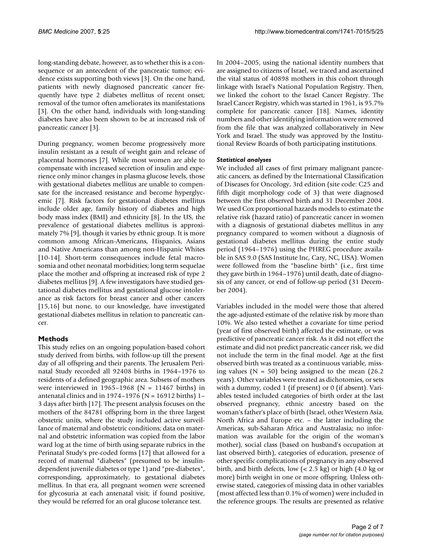long-standing debate, however, as to whether this is a consequence or an antecedent of the pancreatic tumor; evidence exists supporting both views [3]. On the one hand, patients with newly diagnosed pancreatic cancer frequently have type 2 diabetes mellitus of recent onset; removal of the tumor often ameliorates its manifestations [3]. On the other hand, individuals with long-standing diabetes have also been shown to be at increased risk of pancreatic cancer [3].

During pregnancy, women become progressively more insulin resistant as a result of weight gain and release of placental hormones [7]. While most women are able to compensate with increased secretion of insulin and experience only minor changes in plasma glucose levels, those with gestational diabetes mellitus are unable to compensate for the increased resistance and become hyperglycemic [7]. Risk factors for gestational diabetes mellitus include older age, family history of diabetes and high body mass index (BMI) and ethnicity [8]. In the US, the prevalence of gestational diabetes mellitus is approximately 7% [\[9\]](#page-5-0), though it varies by ethnic group. It is more common among African-Americans, Hispanics, Asians and Native Americans than among non-Hispanic Whites [10-14]. Short-term consequences include fetal macrosomia and other neonatal morbidities; long term sequelae place the mother and offspring at increased risk of type 2 diabetes mellitus [[9](#page-5-0)]. A few investigators have studied gestational diabetes mellitus and gestational glucose intolerance as risk factors for breast cancer and other cancers [15,16] but none, to our knowledge, have investigated gestational diabetes mellitus in relation to pancreatic cancer.

# **Methods**

This study relies on an ongoing population-based cohort study derived from births, with follow-up till the present day of all offspring and their parents. The Jerusalem Perinatal Study recorded all 92408 births in 1964–1976 to residents of a defined geographic area. Subsets of mothers were interviewed in 1965–1968 ( $N = 11467$  births) in antenatal clinics and in 1974–1976 ( $N = 16912$  births) 1– 3 days after birth [17]. The present analysis focuses on the mothers of the 84781 offspring born in the three largest obstetric units, where the study included active surveillance of maternal and obstetric conditions; data on maternal and obstetric information was copied from the labor ward log at the time of birth using separate rubrics in the Perinatal Study's pre-coded forms [17] that allowed for a record of maternal "diabetes" (presumed to be insulindependent juvenile diabetes or type 1) and "pre-diabetes", corresponding, approximately, to gestational diabetes mellitus. In that era, all pregnant women were screened for glycosuria at each antenatal visit; if found positive, they would be referred for an oral glucose tolerance test.

In 2004–2005, using the national identity numbers that are assigned to citizens of Israel, we traced and ascertained the vital status of 40898 mothers in this cohort through linkage with Israel's National Population Registry. Then, we linked the cohort to the Israel Cancer Registry. The Israel Cancer Registry, which was started in 1961, is 95.7% complete for pancreatic cancer [18]. Names, identity numbers and other identifying information were removed from the file that was analyzed collaboratively in New York and Israel. The study was approved by the Institutional Review Boards of both participating institutions.

# *Statistical analyses*

We included all cases of first primary malignant pancreatic cancers, as defined by the International Classification of Diseases for Oncology, 3rd edition (site code: C25 and fifth digit morphology code of 3) that were diagnosed between the first observed birth and 31 December 2004. We used Cox proportional hazards models to estimate the relative risk (hazard ratio) of pancreatic cancer in women with a diagnosis of gestational diabetes mellitus in any pregnancy compared to women without a diagnosis of gestational diabetes mellitus during the entire study period (1964–1976) using the PHREG procedure available in SAS 9.0 (SAS Institute Inc, Cary, NC, USA). Women were followed from the "baseline birth" (i.e., first time they gave birth in 1964–1976) until death, date of diagnosis of any cancer, or end of follow-up period (31 December 2004).

Variables included in the model were those that altered the age-adjusted estimate of the relative risk by more than 10%. We also tested whether a covariate for time period (year of first observed birth) affected the estimate, or was predictive of pancreatic cancer risk. As it did not effect the estimate and did not predict pancreatic cancer risk, we did not include the term in the final model. Age at the first observed birth was treated as a continuous variable, missing values ( $N = 50$ ) being assigned to the mean (26.2) years). Other variables were treated as dichotomies, or sets with a dummy, coded 1 (if present) or 0 (if absent). Variables tested included categories of birth order at the last observed pregnancy, ethnic ancestry based on the woman's father's place of birth (Israel, other Western Asia, North Africa and Europe etc. – the latter including the Americas, sub-Saharan Africa and Australasia; no information was available for the origin of the woman's mother), social class (based on husband's occupation at last observed birth), categories of education, presence of other specific complications of pregnancy in any observed birth, and birth defects, low  $( $2.5 \text{ kg}$ )$  or high  $(4.0 \text{ kg})$  or more) birth weight in one or more offspring. Unless otherwise stated, categories of missing data in other variables (most affected less than 0.1% of women) were included in the reference groups. The results are presented as relative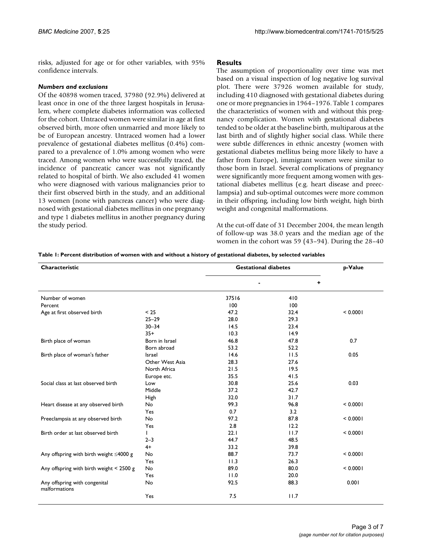risks, adjusted for age or for other variables, with 95% confidence intervals.

# *Numbers and exclusions*

Of the 40898 women traced, 37980 (92.9%) delivered at least once in one of the three largest hospitals in Jerusalem, where complete diabetes information was collected for the cohort. Untraced women were similar in age at first observed birth, more often unmarried and more likely to be of European ancestry. Untraced women had a lower prevalence of gestational diabetes mellitus (0.4%) compared to a prevalence of 1.0% among women who were traced. Among women who were successfully traced, the incidence of pancreatic cancer was not significantly related to hospital of birth. We also excluded 41 women who were diagnosed with various malignancies prior to their first observed birth in the study, and an additional 13 women (none with pancreas cancer) who were diagnosed with gestational diabetes mellitus in one pregnancy and type 1 diabetes mellitus in another pregnancy during the study period.

# **Results**

The assumption of proportionality over time was met based on a visual inspection of log negative log survival plot. There were 37926 women available for study, including 410 diagnosed with gestational diabetes during one or more pregnancies in 1964–1976. Table 1 compares the characteristics of women with and without this pregnancy complication. Women with gestational diabetes tended to be older at the baseline birth, multiparous at the last birth and of slightly higher social class. While there were subtle differences in ethnic ancestry (women with gestational diabetes mellitus being more likely to have a father from Europe), immigrant women were similar to those born in Israel. Several complications of pregnancy were significantly more frequent among women with gestational diabetes mellitus (e.g. heart disease and preeclampsia) and sub-optimal outcomes were more common in their offspring, including low birth weight, high birth weight and congenital malformations.

At the cut-off date of 31 December 2004, the mean length of follow-up was 38.0 years and the median age of the women in the cohort was 59 (43–94). During the 28–40

| Characteristic                                 |                 | <b>Gestational diabetes</b> | p-Value |          |
|------------------------------------------------|-----------------|-----------------------------|---------|----------|
|                                                |                 |                             | ٠       |          |
| Number of women                                |                 | 37516                       | 410     |          |
| Percent                                        |                 | 100                         | 100     |          |
| Age at first observed birth                    | < 25            | 47.2                        | 32.4    | < 0.0001 |
|                                                | $25 - 29$       | 28.0                        | 29.3    |          |
|                                                | $30 - 34$       | 14.5                        | 23.4    |          |
|                                                | $35+$           | 10.3                        | 14.9    |          |
| Birth place of woman                           | Born in Israel  | 46.8                        | 47.8    | 0.7      |
|                                                | Born abroad     | 53.2                        | 52.2    |          |
| Birth place of woman's father                  | Israel          | 14.6                        | 11.5    | 0.05     |
|                                                | Other West Asia | 28.3                        | 27.6    |          |
|                                                | North Africa    | 21.5                        | 19.5    |          |
|                                                | Europe etc.     | 35.5                        | 41.5    |          |
| Social class at last observed birth            | Low             | 30.8                        | 25.6    | 0.03     |
|                                                | Middle          | 37.2                        | 42.7    |          |
|                                                | High            | 32.0                        | 31.7    |          |
| Heart disease at any observed birth            | No              | 99.3                        | 96.8    | < 0.0001 |
|                                                | Yes             | 0.7                         | 3.2     |          |
| Preeclampsia at any observed birth             | No              | 97.2                        | 87.8    | < 0.0001 |
|                                                | Yes             | 2.8                         | 12.2    |          |
| Birth order at last observed birth             |                 | 22.1                        | 11.7    | < 0.0001 |
|                                                | $2 - 3$         | 44.7                        | 48.5    |          |
|                                                | $4+$            | 33.2                        | 39.8    |          |
| Any offspring with birth weight $\leq$ 4000 g  | No              | 88.7                        | 73.7    | < 0.0001 |
|                                                | Yes             | 11.3                        | 26.3    |          |
| Any offspring with birth weight $<$ 2500 g     | No              | 89.0                        | 80.0    | < 0.0001 |
|                                                | Yes             | 11.0                        | 20.0    |          |
| Any offspring with congenital<br>malformations | No              | 92.5                        | 88.3    | 0.001    |
|                                                | Yes             | 7.5                         | 11.7    |          |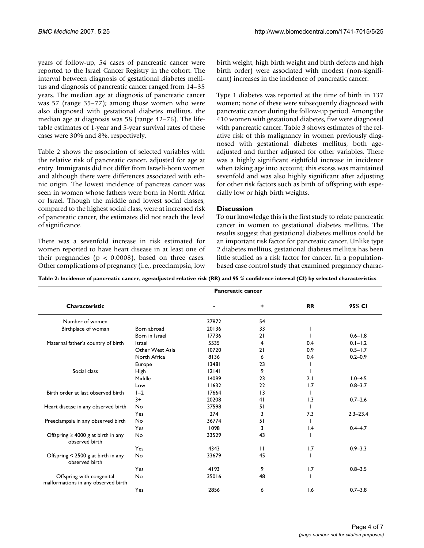years of follow-up, 54 cases of pancreatic cancer were reported to the Israel Cancer Registry in the cohort. The interval between diagnosis of gestational diabetes mellitus and diagnosis of pancreatic cancer ranged from 14–35 years. The median age at diagnosis of pancreatic cancer was 57 (range 35–77); among those women who were also diagnosed with gestational diabetes mellitus, the median age at diagnosis was 58 (range 42–76). The lifetable estimates of 1-year and 5-year survival rates of these cases were 30% and 8%, respectively.

Table 2 shows the association of selected variables with the relative risk of pancreatic cancer, adjusted for age at entry. Immigrants did not differ from Israeli-born women and although there were differences associated with ethnic origin. The lowest incidence of pancreas cancer was seen in women whose fathers were born in North Africa or Israel. Though the middle and lowest social classes, compared to the highest social class, were at increased risk of pancreatic cancer, the estimates did not reach the level of significance.

There was a sevenfold increase in risk estimated for women reported to have heart disease in at least one of their pregnancies ( $p < 0.0008$ ), based on three cases. Other complications of pregnancy (i.e., preeclampsia, low birth weight, high birth weight and birth defects and high birth order) were associated with modest (non-significant) increases in the incidence of pancreatic cancer.

Type 1 diabetes was reported at the time of birth in 137 women; none of these were subsequently diagnosed with pancreatic cancer during the follow-up period. Among the 410 women with gestational diabetes, five were diagnosed with pancreatic cancer. Table 3 shows estimates of the relative risk of this malignancy in women previously diagnosed with gestational diabetes mellitus, both ageadjusted and further adjusted for other variables. There was a highly significant eightfold increase in incidence when taking age into account; this excess was maintained sevenfold and was also highly significant after adjusting for other risk factors such as birth of offspring with especially low or high birth weights.

# **Discussion**

To our knowledge this is the first study to relate pancreatic cancer in women to gestational diabetes mellitus. The results suggest that gestational diabetes mellitus could be an important risk factor for pancreatic cancer. Unlike type 2 diabetes mellitus, gestational diabetes mellitus has been little studied as a risk factor for cancer. In a populationbased case control study that examined pregnancy charac-

| Table 2: Incidence of pancreatic cancer, age-adjusted relative risk (RR) and 95 % confidence interval (CI) by selected characteristics |  |  |
|----------------------------------------------------------------------------------------------------------------------------------------|--|--|
|                                                                                                                                        |  |  |

|                                                                  |                 | <b>Pancreatic cancer</b> |              |                 |              |
|------------------------------------------------------------------|-----------------|--------------------------|--------------|-----------------|--------------|
| Characteristic                                                   |                 |                          | ٠            | <b>RR</b>       | 95% CI       |
| Number of women                                                  |                 | 37872                    | 54           |                 |              |
| Birthplace of woman                                              | Born abroad     | 20136                    | 33           |                 |              |
|                                                                  | Born in Israel  | 17736                    | 21           |                 | $0.6 - 1.8$  |
| Maternal father's country of birth                               | <b>Israel</b>   | 5535                     | 4            | 0.4             | $0.1 - 1.2$  |
|                                                                  | Other West Asia | 10720                    | 21           | 0.9             | $0.5 - 1.7$  |
|                                                                  | North Africa    | 8136                     | 6            | 0.4             | $0.2 - 0.9$  |
|                                                                  | Europe          | 13481                    | 23           |                 |              |
| Social class                                                     | <b>High</b>     | 12141                    | 9            |                 |              |
|                                                                  | Middle          | 14099                    | 23           | 2.1             | $1.0 - 4.5$  |
|                                                                  | Low             | 11632                    | 22           | 1.7             | $0.8 - 3.7$  |
| Birth order at last observed birth                               | $1-2$           | 17664                    | 13           |                 |              |
|                                                                  | $3+$            | 20208                    | 41           | 1.3             | $0.7 - 2.6$  |
| Heart disease in any observed birth                              | No              | 37598                    | 51           |                 |              |
|                                                                  | Yes             | 274                      | 3            | 7.3             | $2.3 - 23.4$ |
| Preeclampsia in any observed birth                               | No              | 36774                    | 51           |                 |              |
|                                                                  | Yes             | 1098                     | 3            | $\mathsf{I}$ .4 | $0.4 - 4.7$  |
| Offspring $\geq 4000$ g at birth in any<br>observed birth        | No              | 33529                    | 43           |                 |              |
|                                                                  | Yes             | 4343                     | $\mathbf{H}$ | 1.7             | $0.9 - 3.3$  |
| Offspring < 2500 g at birth in any<br>observed birth             | No              | 33679                    | 45           |                 |              |
|                                                                  | Yes             | 4193                     | 9            | 1.7             | $0.8 - 3.5$  |
| Offspring with congenital<br>malformations in any observed birth | No              | 35016                    | 48           |                 |              |
|                                                                  | Yes             | 2856                     | 6            | 1.6             | $0.7 - 3.8$  |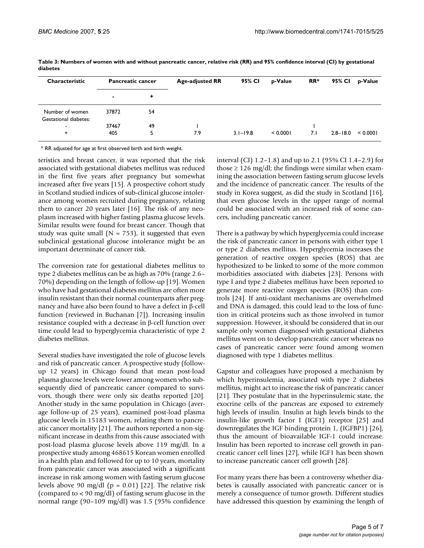| Characteristic                           | <b>Pancreatic cancer</b> |    | <b>Age-adjusted RR</b> | 95% CI       | p-Value  | RR* | 95% CI       | p-Value  |
|------------------------------------------|--------------------------|----|------------------------|--------------|----------|-----|--------------|----------|
|                                          | ٠                        | ٠  |                        |              |          |     |              |          |
| Number of women<br>Gestational diabetes: | 37872                    | 54 |                        |              |          |     |              |          |
| -                                        | 37467                    | 49 |                        |              |          |     |              |          |
| $\ddot{}$                                | 405                      | 5  | 7.9                    | $3.1 - 19.8$ | < 0.0001 | 7.1 | $2.8 - 18.0$ | < 0.0001 |

**Table 3: Numbers of women with and without pancreatic cancer, relative risk (RR) and 95% confidence interval (CI) by gestational diabetes**

\* RR adjusted for age at first observed birth and birth weight.

teristics and breast cancer, it was reported that the risk associated with gestational diabetes mellitus was reduced in the first five years after pregnancy but somewhat increased after five years [15]. A prospective cohort study in Scotland studied indices of sub-clinical glucose intolerance among women recruited during pregnancy, relating them to cancer 20 years later [16]. The risk of any neoplasm increased with higher fasting plasma glucose levels. Similar results were found for breast cancer. Though that study was quite small ( $N = 753$ ), it suggested that even subclinical gestational glucose intolerance might be an important determinate of cancer risk.

The conversion rate for gestational diabetes mellitus to type 2 diabetes mellitus can be as high as 70% (range 2.6– 70%) depending on the length of follow-up [19]. Women who have had gestational diabetes mellitus are often more insulin resistant than their normal counterparts after pregnancy and have also been found to have a defect in β-cell function (reviewed in Buchanan [7]). Increasing insulin resistance coupled with a decrease in β-cell function over time could lead to hyperglycemia characteristic of type 2 diabetes mellitus.

Several studies have investigated the role of glucose levels and risk of pancreatic cancer. A prospective study (followup 12 years) in Chicago found that mean post-load plasma glucose levels were lower among women who subsequently died of pancreatic cancer compared to survivors, though there were only six deaths reported [20]. Another study in the same population in Chicago (average follow-up of 25 years), examined post-load plasma glucose levels in 15183 women, relating them to pancreatic cancer mortality [21]. The authors reported a non-significant increase in deaths from this cause associated with post-load plasma glucose levels above 119 mg/dl. In a prospective study among 468615 Korean women enrolled in a health plan and followed for up to 10 years, mortality from pancreatic cancer was associated with a significant increase in risk among women with fasting serum glucose levels above 90 mg/dl ( $p = 0.01$ ) [22]. The relative risk (compared to < 90 mg/dl) of fasting serum glucose in the normal range (90–109 mg/dl) was 1.5 (95% confidence interval (CI) 1.2–1.8) and up to 2.1 (95% CI 1.4–2.9) for those  $\geq$  126 mg/dl; the findings were similar when examining the association between fasting serum glucose levels and the incidence of pancreatic cancer. The results of the study in Korea suggest, as did the study in Scotland [16], that even glucose levels in the upper range of normal could be associated with an increased risk of some cancers, including pancreatic cancer.

There is a pathway by which hyperglycemia could increase the risk of pancreatic cancer in persons with either type 1 or type 2 diabetes mellitus. Hyperglycemia increases the generation of reactive oxygen species (ROS) that are hypothesized to be linked to some of the more common morbidities associated with diabetes [23]. Persons with type I and type 2 diabetes mellitus have been reported to generate more reactive oxygen species (ROS) than controls [24]. If anti-oxidant mechanisms are overwhelmed and DNA is damaged, this could lead to the loss of function in critical proteins such as those involved in tumor suppression. However, it should be considered that in our sample only women diagnosed with gestational diabetes mellitus went on to develop pancreatic cancer whereas no cases of pancreatic cancer were found among women diagnosed with type 1 diabetes mellitus.

Gapstur and colleagues have proposed a mechanism by which hyperinsulemia, associated with type 2 diabetes mellitus, might act to increase the risk of pancreatic cancer [21]. They postulate that in the hyperinsulemic state, the exocrine cells of the pancreas are exposed to extremely high levels of insulin. Insulin at high levels binds to the insulin-like growth factor I (IGF1) receptor [25] and downregulates the IGF binding protein 1, (IGFBP1) [26], thus the amount of bioavailable IGF-1 could increase. Insulin has been reported to increase cell growth in pancreatic cancer cell lines [27], while IGF1 has been shown to increase pancreatic cancer cell growth [28].

For many years there has been a controversy whether diabetes is causally associated with pancreatic cancer or is merely a consequence of tumor growth. Different studies have addressed this question by examining the length of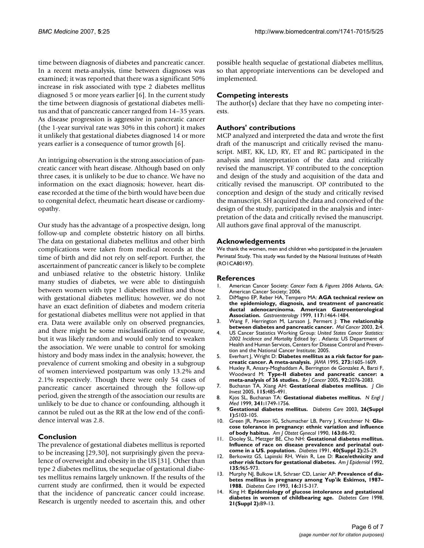time between diagnosis of diabetes and pancreatic cancer. In a recent meta-analysis, time between diagnoses was examined; it was reported that there was a significant 50% increase in risk associated with type 2 diabetes mellitus diagnosed 5 or more years earlier [6]. In the current study the time between diagnosis of gestational diabetes mellitus and that of pancreatic cancer ranged from 14–35 years. As disease progression is aggressive in pancreatic cancer (the 1-year survival rate was 30% in this cohort) it makes it unlikely that gestational diabetes diagnosed 14 or more years earlier is a consequence of tumor growth [6].

An intriguing observation is the strong association of pancreatic cancer with heart disease. Although based on only three cases, it is unlikely to be due to chance. We have no information on the exact diagnosis; however, heart disease recorded at the time of the birth would have been due to congenital defect, rheumatic heart disease or cardiomyopathy.

Our study has the advantage of a prospective design, long follow-up and complete obstetric history on all births. The data on gestational diabetes mellitus and other birth complications were taken from medical records at the time of birth and did not rely on self-report. Further, the ascertainment of pancreatic cancer is likely to be complete and unbiased relative to the obstetric history. Unlike many studies of diabetes, we were able to distinguish between women with type 1 diabetes mellitus and those with gestational diabetes mellitus; however, we do not have an exact definition of diabetes and modern criteria for gestational diabetes mellitus were not applied in that era. Data were available only on observed pregnancies, and there might be some misclassification of exposure, but it was likely random and would only tend to weaken the association. We were unable to control for smoking history and body mass index in the analysis; however, the prevalence of current smoking and obesity in a subgroup of women interviewed postpartum was only 13.2% and 2.1% respectively. Though there were only 54 cases of pancreatic cancer ascertained through the follow-up period, given the strength of the association our results are unlikely to be due to chance or confounding, although it cannot be ruled out as the RR at the low end of the confidence interval was 2.8.

## **Conclusion**

The prevalence of gestational diabetes mellitus is reported to be increasing [29,30], not surprisingly given the prevalence of overweight and obesity in the US [31]. Other than type 2 diabetes mellitus, the sequelae of gestational diabetes mellitus remains largely unknown. If the results of the current study are confirmed, then it would be expected that the incidence of pancreatic cancer could increase. Research is urgently needed to ascertain this, and other possible health sequelae of gestational diabetes mellitus, so that appropriate interventions can be developed and implemented.

# **Competing interests**

The author(s) declare that they have no competing interests.

## **Authors' contributions**

MCP analyzed and interpreted the data and wrote the first draft of the manuscript and critically revised the manuscript. MBT, KK, LD, RY, ET and RC participated in the analysis and interpretation of the data and critically revised the manuscript. YF contributed to the conception and design of the study and acquisition of the data and critically revised the manuscript. OP contributed to the conception and design of the study and critically revised the manuscript. SH acquired the data and conceived of the design of the study, participated in the analysis and interpretation of the data and critically revised the manuscript. All authors gave final approval of the manuscript.

#### **Acknowledgements**

We thank the women, men and children who participated in the Jerusalem Perinatal Study. This study was funded by the National Institutes of Health (RO1CA80197).

#### **References**

- 1. American Cancer Society: *Cancer Facts & Figures 2006* Atlanta, GA: American Cancer Society; 2006.
- 2. DiMagno EP, Reber HA, Tempero MA: **[AGA technical review on](http://www.ncbi.nlm.nih.gov/entrez/query.fcgi?cmd=Retrieve&db=PubMed&dopt=Abstract&list_uids=10579989) the epidemiology, diagnosis, and treatment of pancreatic [ductal adenocarcinoma. American Gastroenterological](http://www.ncbi.nlm.nih.gov/entrez/query.fcgi?cmd=Retrieve&db=PubMed&dopt=Abstract&list_uids=10579989) [Association.](http://www.ncbi.nlm.nih.gov/entrez/query.fcgi?cmd=Retrieve&db=PubMed&dopt=Abstract&list_uids=10579989)** *Gastroenterology* 1999, **117:**1464-1484.
- 3. Wang F, Herrington M, Larsson J, Permert J: **[The relationship](http://www.ncbi.nlm.nih.gov/entrez/query.fcgi?cmd=Retrieve&db=PubMed&dopt=Abstract&list_uids=12556242) [between diabetes and pancreatic cancer.](http://www.ncbi.nlm.nih.gov/entrez/query.fcgi?cmd=Retrieve&db=PubMed&dopt=Abstract&list_uids=12556242)** *Mol Cancer* 2003, **2:**4.
- 4. US Cancer Statistics Working Group: *United States Cancer Statistics: 2002 Incidence and Mortality* Edited by: . Atlanta: US Department of Health and Human Services, Centers for Disease Control and Prevention and the National Cancer Institute; 2005.
- 5. Everhart J, Wright D: **[Diabetes mellitus as a risk factor for pan](http://www.ncbi.nlm.nih.gov/entrez/query.fcgi?cmd=Retrieve&db=PubMed&dopt=Abstract&list_uids=7745774)[creatic cancer. A meta-analysis.](http://www.ncbi.nlm.nih.gov/entrez/query.fcgi?cmd=Retrieve&db=PubMed&dopt=Abstract&list_uids=7745774)** *JAMA* 1995, **273:**1605-1609.
- 6. Huxley R, Ansary-Moghaddam A, Berrington de Gonzalez A, Barzi F, Woodward M: **[Type-II diabetes and pancreatic cancer: a](http://www.ncbi.nlm.nih.gov/entrez/query.fcgi?cmd=Retrieve&db=PubMed&dopt=Abstract&list_uids=15886696) [meta-analysis of 36 studies.](http://www.ncbi.nlm.nih.gov/entrez/query.fcgi?cmd=Retrieve&db=PubMed&dopt=Abstract&list_uids=15886696)** *Br J Cancer* 2005, **92:**2076-2083.
- 7. Buchanan TA, Xiang AH: **[Gestational diabetes mellitus.](http://www.ncbi.nlm.nih.gov/entrez/query.fcgi?cmd=Retrieve&db=PubMed&dopt=Abstract&list_uids=15765129)** *J Clin Invest* 2005, **115:**485-491.
- 8. Kjos SL, Buchanan TA: **[Gestational diabetes mellitus.](http://www.ncbi.nlm.nih.gov/entrez/query.fcgi?cmd=Retrieve&db=PubMed&dopt=Abstract&list_uids=10580075)** *N Engl J Med* 1999, **341:**1749-1756.
- <span id="page-5-0"></span>9. **[Gestational diabetes mellitus.](http://www.ncbi.nlm.nih.gov/entrez/query.fcgi?cmd=Retrieve&db=PubMed&dopt=Abstract&list_uids=12502631)** *Diabetes Care* 2003, **26(Suppl 1):**S103-105.
- 10. Green JR, Pawson IG, Schumacher LB, Perry J, Kretchmer N: **[Glu](http://www.ncbi.nlm.nih.gov/entrez/query.fcgi?cmd=Retrieve&db=PubMed&dopt=Abstract&list_uids=2375375)[cose tolerance in pregnancy: ethnic variation and influence](http://www.ncbi.nlm.nih.gov/entrez/query.fcgi?cmd=Retrieve&db=PubMed&dopt=Abstract&list_uids=2375375) [of body habitus.](http://www.ncbi.nlm.nih.gov/entrez/query.fcgi?cmd=Retrieve&db=PubMed&dopt=Abstract&list_uids=2375375)** *Am J Obstet Gynecol* 1990, **163:**86-92.
- 11. Dooley SL, Metzger BE, Cho NH: **[Gestational diabetes mellitus.](http://www.ncbi.nlm.nih.gov/entrez/query.fcgi?cmd=Retrieve&db=PubMed&dopt=Abstract&list_uids=1748260) [Influence of race on disease prevalence and perinatal out](http://www.ncbi.nlm.nih.gov/entrez/query.fcgi?cmd=Retrieve&db=PubMed&dopt=Abstract&list_uids=1748260)[come in a US. population.](http://www.ncbi.nlm.nih.gov/entrez/query.fcgi?cmd=Retrieve&db=PubMed&dopt=Abstract&list_uids=1748260)** *Diabetes* 1991, **40(Suppl 2):**25-29.
- 12. Berkowitz GS, Lapinski RH, Wein R, Lee D: **[Race/ethnicity and](http://www.ncbi.nlm.nih.gov/entrez/query.fcgi?cmd=Retrieve&db=PubMed&dopt=Abstract&list_uids=1595695) [other risk factors for gestational diabetes.](http://www.ncbi.nlm.nih.gov/entrez/query.fcgi?cmd=Retrieve&db=PubMed&dopt=Abstract&list_uids=1595695)** *Am J Epidemiol* 1992, **135:**965-973.
- 13. Murphy NJ, Bulkow LR, Schraer CD, Lanier AP: **[Prevalence of dia](http://www.ncbi.nlm.nih.gov/entrez/query.fcgi?cmd=Retrieve&db=PubMed&dopt=Abstract&list_uids=8422799)[betes mellitus in pregnancy among Yup'ik Eskimos, 1987–](http://www.ncbi.nlm.nih.gov/entrez/query.fcgi?cmd=Retrieve&db=PubMed&dopt=Abstract&list_uids=8422799) [1988.](http://www.ncbi.nlm.nih.gov/entrez/query.fcgi?cmd=Retrieve&db=PubMed&dopt=Abstract&list_uids=8422799)** *Diabetes Care* 1993, **16:**315-317.
- 14. King H: **[Epidemiology of glucose intolerance and gestational](http://www.ncbi.nlm.nih.gov/entrez/query.fcgi?cmd=Retrieve&db=PubMed&dopt=Abstract&list_uids=9704221) [diabetes in women of childbearing age.](http://www.ncbi.nlm.nih.gov/entrez/query.fcgi?cmd=Retrieve&db=PubMed&dopt=Abstract&list_uids=9704221)** *Diabetes Care* 1998, **21(Suppl 2):**B9-13.